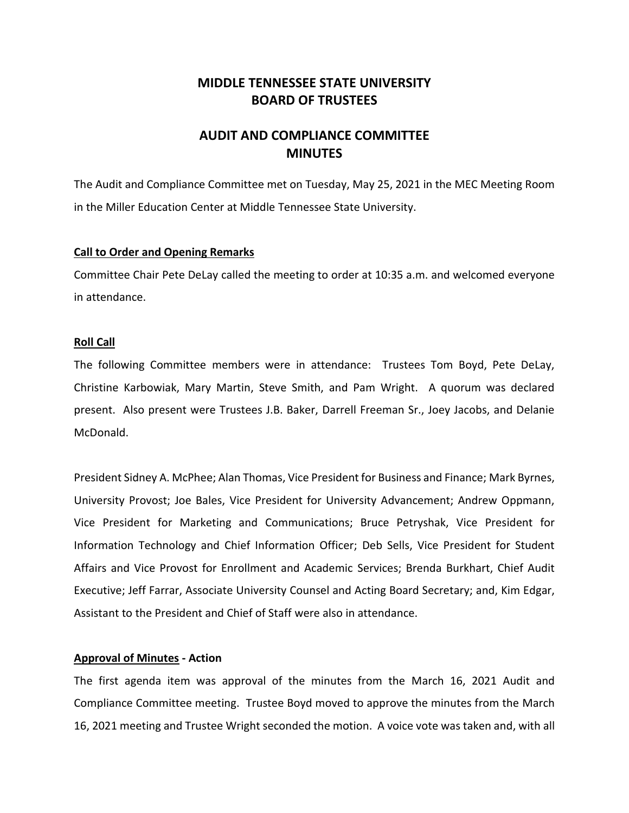# **MIDDLE TENNESSEE STATE UNIVERSITY BOARD OF TRUSTEES**

# **AUDIT AND COMPLIANCE COMMITTEE MINUTES**

The Audit and Compliance Committee met on Tuesday, May 25, 2021 in the MEC Meeting Room in the Miller Education Center at Middle Tennessee State University.

## **Call to Order and Opening Remarks**

Committee Chair Pete DeLay called the meeting to order at 10:35 a.m. and welcomed everyone in attendance.

## **Roll Call**

The following Committee members were in attendance: Trustees Tom Boyd, Pete DeLay, Christine Karbowiak, Mary Martin, Steve Smith, and Pam Wright. A quorum was declared present. Also present were Trustees J.B. Baker, Darrell Freeman Sr., Joey Jacobs, and Delanie McDonald.

President Sidney A. McPhee; Alan Thomas, Vice President for Business and Finance; Mark Byrnes, University Provost; Joe Bales, Vice President for University Advancement; Andrew Oppmann, Vice President for Marketing and Communications; Bruce Petryshak, Vice President for Information Technology and Chief Information Officer; Deb Sells, Vice President for Student Affairs and Vice Provost for Enrollment and Academic Services; Brenda Burkhart, Chief Audit Executive; Jeff Farrar, Associate University Counsel and Acting Board Secretary; and, Kim Edgar, Assistant to the President and Chief of Staff were also in attendance.

# **Approval of Minutes - Action**

The first agenda item was approval of the minutes from the March 16, 2021 Audit and Compliance Committee meeting. Trustee Boyd moved to approve the minutes from the March 16, 2021 meeting and Trustee Wright seconded the motion. A voice vote was taken and, with all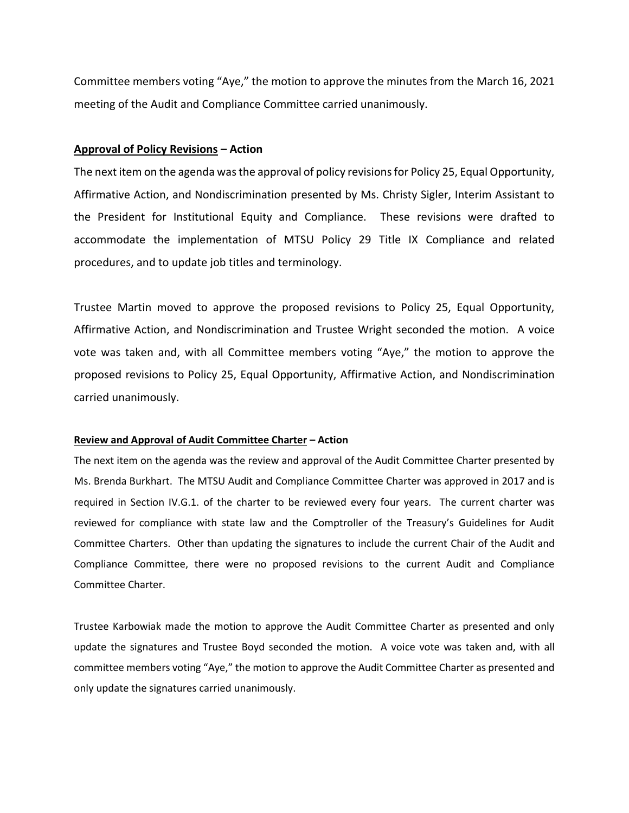Committee members voting "Aye," the motion to approve the minutes from the March 16, 2021 meeting of the Audit and Compliance Committee carried unanimously.

#### **Approval of Policy Revisions – Action**

The next item on the agenda was the approval of policy revisions for Policy 25, Equal Opportunity, Affirmative Action, and Nondiscrimination presented by Ms. Christy Sigler, Interim Assistant to the President for Institutional Equity and Compliance. These revisions were drafted to accommodate the implementation of MTSU Policy 29 Title IX Compliance and related procedures, and to update job titles and terminology.

Trustee Martin moved to approve the proposed revisions to Policy 25, Equal Opportunity, Affirmative Action, and Nondiscrimination and Trustee Wright seconded the motion. A voice vote was taken and, with all Committee members voting "Aye," the motion to approve the proposed revisions to Policy 25, Equal Opportunity, Affirmative Action, and Nondiscrimination carried unanimously.

### **Review and Approval of Audit Committee Charter – Action**

The next item on the agenda was the review and approval of the Audit Committee Charter presented by Ms. Brenda Burkhart. The MTSU Audit and Compliance Committee Charter was approved in 2017 and is required in Section IV.G.1. of the charter to be reviewed every four years. The current charter was reviewed for compliance with state law and the Comptroller of the Treasury's Guidelines for Audit Committee Charters. Other than updating the signatures to include the current Chair of the Audit and Compliance Committee, there were no proposed revisions to the current Audit and Compliance Committee Charter.

Trustee Karbowiak made the motion to approve the Audit Committee Charter as presented and only update the signatures and Trustee Boyd seconded the motion. A voice vote was taken and, with all committee members voting "Aye," the motion to approve the Audit Committee Charter as presented and only update the signatures carried unanimously.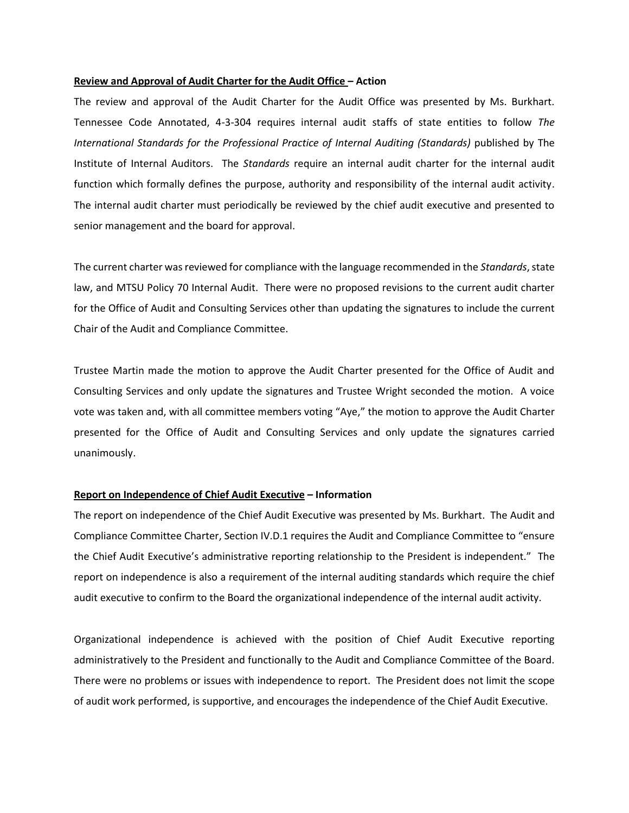#### **Review and Approval of Audit Charter for the Audit Office – Action**

The review and approval of the Audit Charter for the Audit Office was presented by Ms. Burkhart. Tennessee Code Annotated, 4-3-304 requires internal audit staffs of state entities to follow *The International Standards for the Professional Practice of Internal Auditing (Standards)* published by The Institute of Internal Auditors. The *Standards* require an internal audit charter for the internal audit function which formally defines the purpose, authority and responsibility of the internal audit activity. The internal audit charter must periodically be reviewed by the chief audit executive and presented to senior management and the board for approval.

The current charter was reviewed for compliance with the language recommended in the *Standards*, state law, and MTSU Policy 70 Internal Audit. There were no proposed revisions to the current audit charter for the Office of Audit and Consulting Services other than updating the signatures to include the current Chair of the Audit and Compliance Committee.

Trustee Martin made the motion to approve the Audit Charter presented for the Office of Audit and Consulting Services and only update the signatures and Trustee Wright seconded the motion. A voice vote was taken and, with all committee members voting "Aye," the motion to approve the Audit Charter presented for the Office of Audit and Consulting Services and only update the signatures carried unanimously.

#### **Report on Independence of Chief Audit Executive – Information**

The report on independence of the Chief Audit Executive was presented by Ms. Burkhart. The Audit and Compliance Committee Charter, Section IV.D.1 requires the Audit and Compliance Committee to "ensure the Chief Audit Executive's administrative reporting relationship to the President is independent." The report on independence is also a requirement of the internal auditing standards which require the chief audit executive to confirm to the Board the organizational independence of the internal audit activity.

Organizational independence is achieved with the position of Chief Audit Executive reporting administratively to the President and functionally to the Audit and Compliance Committee of the Board. There were no problems or issues with independence to report. The President does not limit the scope of audit work performed, is supportive, and encourages the independence of the Chief Audit Executive.